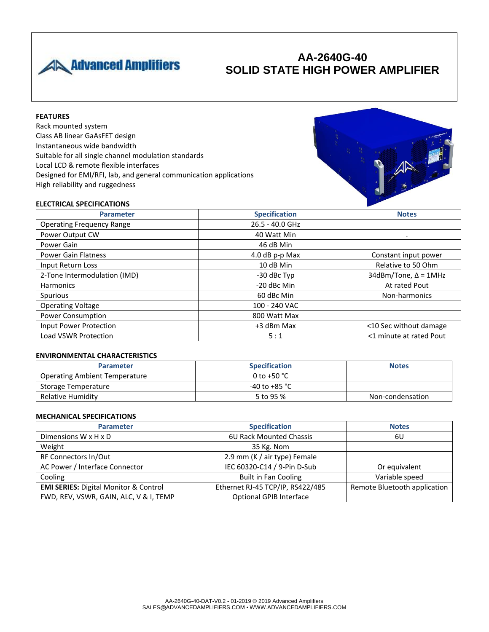

# **AA-2640G-40 SOLID STATE HIGH POWER AMPLIFIER**

## **FEATURES**

Rack mounted system Class AB linear GaAsFET design Instantaneous wide bandwidth Suitable for all single channel modulation standards Local LCD & remote flexible interfaces Designed for EMI/RFI, lab, and general communication applications High reliability and ruggedness



### **ELECTRICAL SPECIFICATIONS**

| <b>Parameter</b>                 | <b>Specification</b> | <b>Notes</b>                |
|----------------------------------|----------------------|-----------------------------|
| <b>Operating Frequency Range</b> | 26.5 - 40.0 GHz      |                             |
| Power Output CW                  | 40 Watt Min          | $\bullet$                   |
| Power Gain                       | 46 dB Min            |                             |
| <b>Power Gain Flatness</b>       | 4.0 dB p-p Max       | Constant input power        |
| Input Return Loss                | 10 dB Min            | Relative to 50 Ohm          |
| 2-Tone Intermodulation (IMD)     | -30 dBc Typ          | $34dBm/Tone, \Delta = 1MHz$ |
| <b>Harmonics</b>                 | -20 dBc Min          | At rated Pout               |
| Spurious                         | 60 dBc Min           | Non-harmonics               |
| <b>Operating Voltage</b>         | 100 - 240 VAC        |                             |
| <b>Power Consumption</b>         | 800 Watt Max         |                             |
| Input Power Protection           | +3 dBm Max           | <10 Sec without damage      |
| <b>Load VSWR Protection</b>      | 5:1                  | <1 minute at rated Pout     |

#### **ENVIRONMENTAL CHARACTERISTICS**

| <b>Parameter</b>                     | <b>Specification</b>    | <b>Notes</b>     |
|--------------------------------------|-------------------------|------------------|
| <b>Operating Ambient Temperature</b> | 0 to +50 $^{\circ}$ C   |                  |
| Storage Temperature                  | -40 to +85 $^{\circ}$ C |                  |
| Relative Humidity                    | 5 to 95 %               | Non-condensation |

### **MECHANICAL SPECIFICATIONS**

| <b>Parameter</b>                                 | <b>Specification</b>             | <b>Notes</b>                 |
|--------------------------------------------------|----------------------------------|------------------------------|
| Dimensions $W \times H \times D$                 | 6U Rack Mounted Chassis          | 6U                           |
| Weight                                           | 35 Kg. Nom                       |                              |
| RF Connectors In/Out                             | 2.9 mm (K / air type) Female     |                              |
| AC Power / Interface Connector                   | IEC 60320-C14 / 9-Pin D-Sub      | Or equivalent                |
| Cooling                                          | <b>Built in Fan Cooling</b>      | Variable speed               |
| <b>EMI SERIES: Digital Monitor &amp; Control</b> | Ethernet RJ-45 TCP/IP, RS422/485 | Remote Bluetooth application |
| FWD, REV, VSWR, GAIN, ALC, V & I, TEMP           | Optional GPIB Interface          |                              |